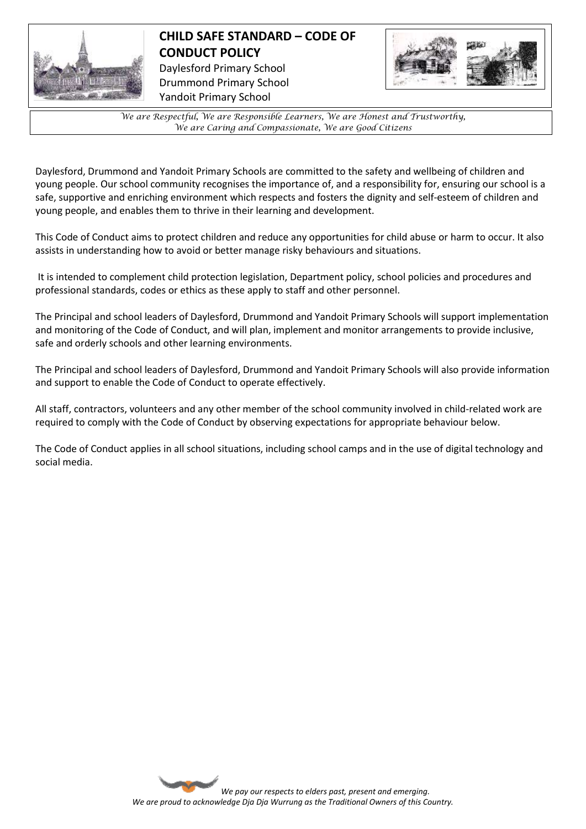

## **CHILD SAFE STANDARD – CODE OF CONDUCT POLICY**  Daylesford Primary School Drummond Primary School Yandoit Primary School



*We are Respectful, We are Responsible Learners, We are Honest and Trustworthy, We are Caring and Compassionate, We are Good Citizens*

Daylesford, Drummond and Yandoit Primary Schools are committed to the safety and wellbeing of children and young people. Our school community recognises the importance of, and a responsibility for, ensuring our school is a safe, supportive and enriching environment which respects and fosters the dignity and self-esteem of children and young people, and enables them to thrive in their learning and development.

This Code of Conduct aims to protect children and reduce any opportunities for child abuse or harm to occur. It also assists in understanding how to avoid or better manage risky behaviours and situations.

It is intended to complement child protection legislation, Department policy, school policies and procedures and professional standards, codes or ethics as these apply to staff and other personnel.

The Principal and school leaders of Daylesford, Drummond and Yandoit Primary Schools will support implementation and monitoring of the Code of Conduct, and will plan, implement and monitor arrangements to provide inclusive, safe and orderly schools and other learning environments.

The Principal and school leaders of Daylesford, Drummond and Yandoit Primary Schools will also provide information and support to enable the Code of Conduct to operate effectively.

All staff, contractors, volunteers and any other member of the school community involved in child-related work are required to comply with the Code of Conduct by observing expectations for appropriate behaviour below.

The Code of Conduct applies in all school situations, including school camps and in the use of digital technology and social media.

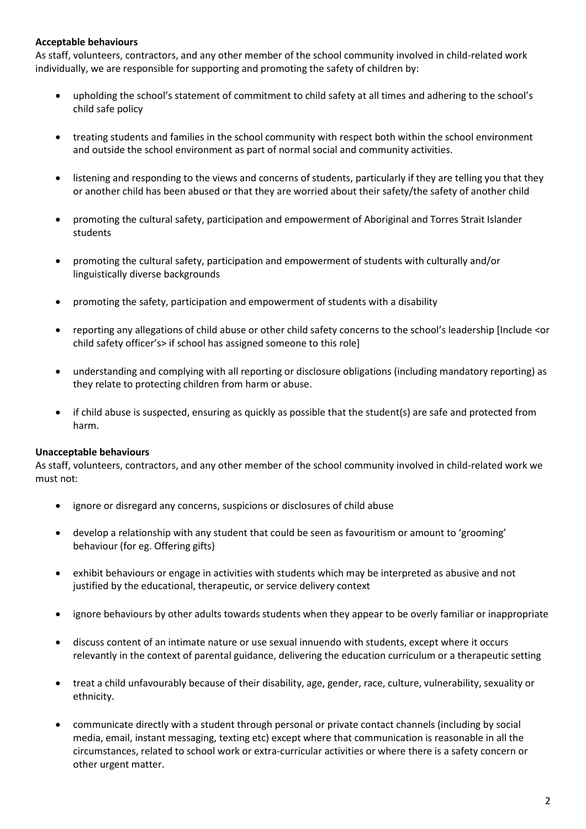## **Acceptable behaviours**

As staff, volunteers, contractors, and any other member of the school community involved in child-related work individually, we are responsible for supporting and promoting the safety of children by:

- upholding the school's statement of commitment to child safety at all times and adhering to the school's child safe policy
- treating students and families in the school community with respect both within the school environment and outside the school environment as part of normal social and community activities.
- listening and responding to the views and concerns of students, particularly if they are telling you that they or another child has been abused or that they are worried about their safety/the safety of another child
- promoting the cultural safety, participation and empowerment of Aboriginal and Torres Strait Islander students
- promoting the cultural safety, participation and empowerment of students with culturally and/or linguistically diverse backgrounds
- promoting the safety, participation and empowerment of students with a disability
- reporting any allegations of child abuse or other child safety concerns to the school's leadership [Include <or child safety officer's> if school has assigned someone to this role]
- understanding and complying with all reporting or disclosure obligations (including mandatory reporting) as they relate to protecting children from harm or abuse.
- if child abuse is suspected, ensuring as quickly as possible that the student(s) are safe and protected from harm.

## **Unacceptable behaviours**

As staff, volunteers, contractors, and any other member of the school community involved in child-related work we must not:

- ignore or disregard any concerns, suspicions or disclosures of child abuse
- develop a relationship with any student that could be seen as favouritism or amount to 'grooming' behaviour (for eg. Offering gifts)
- exhibit behaviours or engage in activities with students which may be interpreted as abusive and not justified by the educational, therapeutic, or service delivery context
- ignore behaviours by other adults towards students when they appear to be overly familiar or inappropriate
- discuss content of an intimate nature or use sexual innuendo with students, except where it occurs relevantly in the context of parental guidance, delivering the education curriculum or a therapeutic setting
- treat a child unfavourably because of their disability, age, gender, race, culture, vulnerability, sexuality or ethnicity.
- communicate directly with a student through personal or private contact channels (including by social media, email, instant messaging, texting etc) except where that communication is reasonable in all the circumstances, related to school work or extra-curricular activities or where there is a safety concern or other urgent matter.